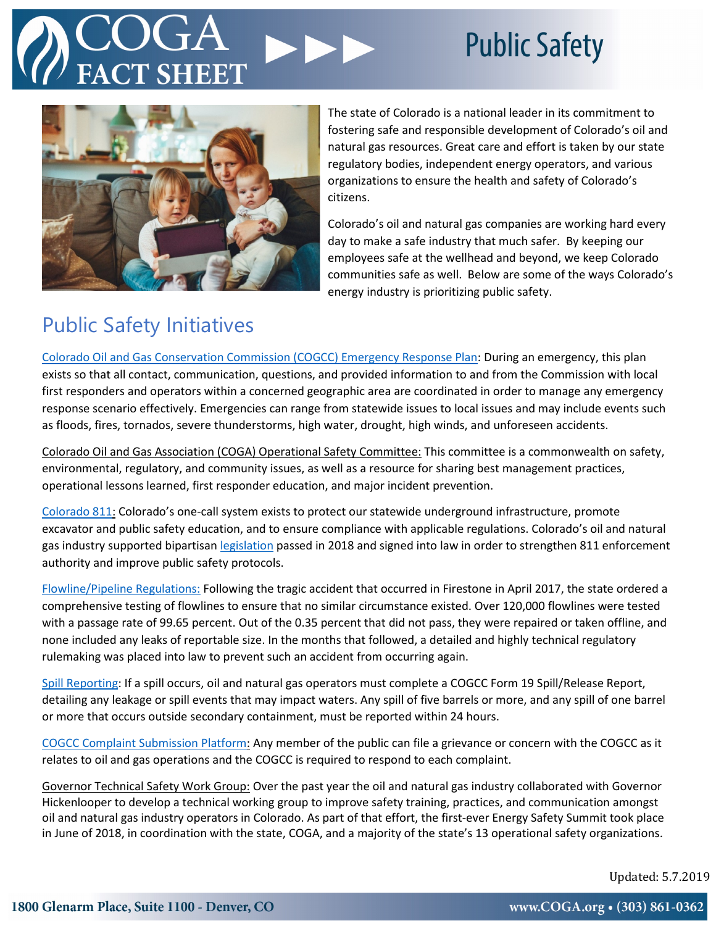# **Public Safety**



The state of Colorado is a national leader in its commitment to fostering safe and responsible development of Colorado's oil and natural gas resources. Great care and effort is taken by our state regulatory bodies, independent energy operators, and various organizations to ensure the health and safety of Colorado's citizens.

Colorado's oil and natural gas companies are working hard every day to make a safe industry that much safer. By keeping our employees safe at the wellhead and beyond, we keep Colorado communities safe as well. Below are some of the ways Colorado's energy industry is prioritizing public safety.

## Public Safety Initiatives

[Colorado Oil and Gas Conservation Commission \(COGCC\) Emergency Response Plan:](https://cogcc.state.co.us/documents/about/EmergencyResponse/FINALIZED%20COGCC%20Emergency%20Response%20Plan.pdf) During an emergency, this plan exists so that all contact, communication, questions, and provided information to and from the Commission with local first responders and operators within a concerned geographic area are coordinated in order to manage any emergency response scenario effectively. Emergencies can range from statewide issues to local issues and may include events such as floods, fires, tornados, severe thunderstorms, high water, drought, high winds, and unforeseen accidents.

Colorado Oil and Gas Association (COGA) Operational Safety Committee: This committee is a commonwealth on safety, environmental, regulatory, and community issues, as well as a resource for sharing best management practices, operational lessons learned, first responder education, and major incident prevention.

[Colorado 811:](http://colorado811.org/) Colorado's one-call system exists to protect our statewide underground infrastructure, promote excavator and public safety education, and to ensure compliance with applicable regulations. Colorado's oil and natural gas industry supported bipartisan [legislation](http://colorado811.org/one-call-legislation/) passed in 2018 and signed into law in order to strengthen 811 enforcement authority and improve public safety protocols.

[Flowline/Pipeline Regulations:](https://www.coga.org/regulations.html#Rflow) Following the tragic accident that occurred in Firestone in April 2017, the state ordered a comprehensive testing of flowlines to ensure that no similar circumstance existed. Over 120,000 flowlines were tested with a passage rate of 99.65 percent. Out of the 0.35 percent that did not pass, they were repaired or taken offline, and none included any leaks of reportable size. In the months that followed, a detailed and highly technical regulatory rulemaking was placed into law to prevent such an accident from occurring again.

[Spill Reporting:](http://cogcc.state.co.us/forms/pdf_forms/form19.pdf) If a spill occurs, oil and natural gas operators must complete a COGCC Form 19 Spill/Release Report, detailing any leakage or spill events that may impact waters. Any spill of five barrels or more, and any spill of one barrel or more that occurs outside secondary containment, must be reported within 24 hours.

[COGCC Complaint Submission](https://cogcc.state.co.us/complaints.html#/complaints) Platform: Any member of the public can file a grievance or concern with the COGCC as it relates to oil and gas operations and the COGCC is required to respond to each complaint.

Governor Technical Safety Work Group: Over the past year the oil and natural gas industry collaborated with Governor Hickenlooper to develop a technical working group to improve safety training, practices, and communication amongst oil and natural gas industry operators in Colorado. As part of that effort, the first-ever Energy Safety Summit took place in June of 2018, in coordination with the state, COGA, and a majority of the state's 13 operational safety organizations.

Updated: 5.7.2019